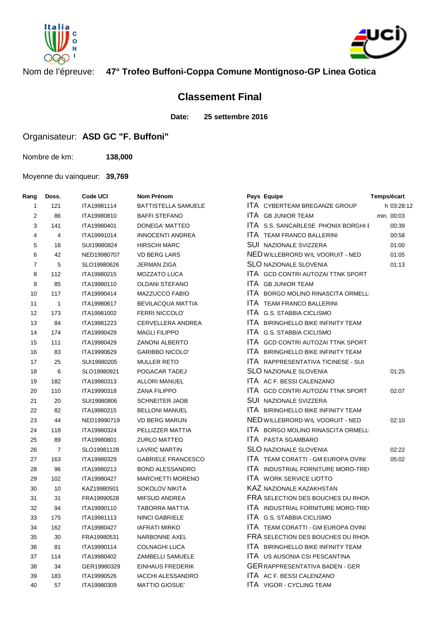



## Nom de l'épreuve: **47° Trofeo Buffoni-Coppa Comune Montignoso-GP Linea Gotica**

## **Classement Final**

**Date: 25 settembre 2016**

## Organisateur: **ASD GC "F. Buffoni"**

Nombre de km: **138,000**

Moyenne du vainqueur: **39,769**

| Rang           | Doss.          | Code UCI    | Nom Prénom                 | Pays Equipe                               | Temps/écart |
|----------------|----------------|-------------|----------------------------|-------------------------------------------|-------------|
| 1              | 121            | ITA19981114 | <b>BATTISTELLA SAMUELE</b> | ITA CYBERTEAM BREGANZE GROUP              | h 03:28:12  |
| 2              | 86             | ITA19980810 | <b>BAFFI STEFANO</b>       | ITA GB JUNIOR TEAM                        | min. 00:03  |
| 3              | 141            | ITA19980401 | DONEGA' MATTEO             | ITA S.S. SANCARLESE PHONIX BORGHI E       | 00:39       |
| 4              | 4              | ITA19991014 | <b>INNOCENTI ANDREA</b>    | ITA TEAM FRANCO BALLERINI                 | 00:58       |
| 5              | 18             | SUI19980824 | <b>HIRSCHI MARC</b>        | <b>SUI NAZIONALE SVIZZERA</b>             | 01:00       |
| 6              | 42             | NED19980707 | <b>VD BERG LARS</b>        | NED WILLEBRORD WIL VOORUIT - NED          | 01:05       |
| $\overline{7}$ | 5              | SLO19980626 | <b>JERMAN ZIGA</b>         | <b>SLO NAZIONALE SLOVENIA</b>             | 01:13       |
| 8              | 112            | ITA19980215 | <b>MOZZATO LUCA</b>        | ITA GCD CONTRI AUTOZAI TTNK SPORT         |             |
| 9              | 85             | ITA19980110 | <b>OLDANI STEFANO</b>      | ITA GB JUNIOR TEAM                        |             |
| 10             | 117            | ITA19990414 | MAZZUCCO FABIO             | ITA BORGO MOLINO RINASCITA ORMELLI        |             |
| 11             | $\overline{1}$ | ITA19980617 | <b>BEVILACQUA MATTIA</b>   | <b>ITA TEAM FRANCO BALLERINI</b>          |             |
| 12             | 173            | ITA19981002 | <b>FERRI NICCOLO'</b>      | ITA G.S. STABBIA CICLISMO                 |             |
| 13             | 84             | ITA19981223 | CERVELLERA ANDREA          | ITA BIRINGHELLO BIKE INFINITY TEAM        |             |
| 14             | 174            | ITA19990429 | <b>MAGLI FILIPPO</b>       | ITA G.S. STABBIA CICLISMO                 |             |
| 15             | 111            | ITA19980429 | <b>ZANONI ALBERTO</b>      | <b>ITA GCD CONTRI AUTOZAI TTNK SPORT</b>  |             |
| 16             | 83             | ITA19990629 | <b>GARIBBO NICOLO'</b>     | <b>ITA BIRINGHELLO BIKE INFINITY TEAM</b> |             |
| 17             | 25             | SUI19980205 | <b>MULLER RETO</b>         | ITA RAPPRESENTATIVA TICINESE - SUI        |             |
| 18             | 6              | SLO19980921 | POGACAR TADEJ              | <b>SLO NAZIONALE SLOVENIA</b>             | 01:25       |
| 19             | 182            | ITA19980313 | ALLORI MANUEL              | <b>ITA AC F. BESSI CALENZANO</b>          |             |
| 20             | 110            | ITA19990318 | <b>ZANA FILIPPO</b>        | <b>ITA GCD CONTRI AUTOZAI TTNK SPORT</b>  | 02:07       |
| 21             | 20             | SUI19980806 | <b>SCHNEITER JAOB</b>      | <b>SUI NAZIONALE SVIZZERA</b>             |             |
| 22             | 82             | ITA19980215 | <b>BELLONI MANUEL</b>      | <b>ITA BIRINGHELLO BIKE INFINITY TEAM</b> |             |
| 23             | 44             | NED19990719 | <b>VD BERG MARIJN</b>      | NED WILLEBRORD WIL VOORUIT - NED          | 02:10       |
| 24             | 118            | ITA19980324 | PELLIZZER MATTIA           | <b>ITA BORGO MOLINO RINASCITA ORMELLI</b> |             |
| 25             | 89             | ITA19980801 | <b>ZURLO MATTEO</b>        | <b>ITA PASTA SGAMBARO</b>                 |             |
| 26             | $\overline{7}$ | SLO19981128 | <b>LAVRIC MARTIN</b>       | <b>SLO NAZIONALE SLOVENIA</b>             | 02:22       |
| 27             | 163            | ITA19980329 | <b>GABRIELE FRANCESCO</b>  | <b>ITA TEAM CORATTI - GM EUROPA OVINI</b> | 05:02       |
| 28             | 96             | ITA19980213 | <b>BOND ALESSANDRO</b>     | ITA INDUSTRIAL FORNITURE MORO-TREG        |             |
| 29             | 102            | ITA19980427 | <b>MARCHETTI MORENO</b>    | <b>ITA WORK SERVICE LIOTTO</b>            |             |
| 30             | 10             | KAZ19980501 | <b>SOKOLOV NIKITA</b>      | <b>KAZ NAZIONALE KAZAKHSTAN</b>           |             |
| 31             | 31             | FRA19990528 | <b>MIFSUD ANDREA</b>       | FRA SELECTION DES BOUCHES DU RHON         |             |
| 32             | 94             | ITA19990110 | TABORRA MATTIA             | ITA INDUSTRIAL FORNITURE MORO-TREO        |             |
| 33             | 175            | ITA19981113 | <b>NINCI GABRIELE</b>      | ITA G.S. STABBIA CICLISMO                 |             |
| 34             | 162            | ITA19980427 | IAFRATI MIRKO              | <b>ITA TEAM CORATTI - GM EUROPA OVINI</b> |             |
| 35             | 30             | FRA19980531 | <b>NARBONNE AXEL</b>       | FRA SELECTION DES BOUCHES DU RHON         |             |
| 36             | 81             | ITA19990114 | <b>COLNAGHI LUCA</b>       | ITA BIRINGHELLO BIKE INFINITY TEAM        |             |
| 37             | 114            | ITA19980402 | ZAMBELLI SAMUELE           | <b>ITA US AUSONIA CSI PESCANTINA</b>      |             |
| 38             | 34             | GER19980329 | <b>EINHAUS FREDERIK</b>    | <b>GER RAPPRESENTATIVA BADEN - GER</b>    |             |
| 39             | 183            | ITA19990526 | <b>IACCHI ALESSANDRO</b>   | ITA AC F. BESSI CALENZANO                 |             |
| 40             | 57             | ITA19980309 | <b>MATTIO GIOSUE'</b>      | <b>ITA VIGOR - CYCLING TEAM</b>           |             |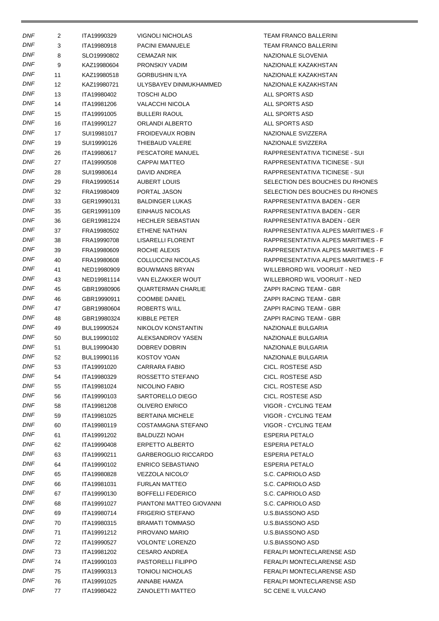| <b>DNF</b> | 2  | ITA19990329 | VIGNOLI NICHOLAS            | TEAM FRANCO BALLERINI               |
|------------|----|-------------|-----------------------------|-------------------------------------|
| <b>DNF</b> | 3  | ITA19980918 | PACINI EMANUELE             | <b>TEAM FRANCO BALLERINI</b>        |
| DNF        | 8  | SLO19990802 | CEMAZAR NIK                 | NAZIONALE SLOVENIA                  |
| <b>DNF</b> | 9  | KAZ19980604 | PRONSKIY VADIM              | NAZIONALE KAZAKHSTAN                |
| DNF        | 11 | KAZ19980518 | <b>GORBUSHIN ILYA</b>       | NAZIONALE KAZAKHSTAN                |
| DNF        | 12 | KAZ19980721 | ULYSBAYEV DINMUKHAMMED      | NAZIONALE KAZAKHSTAN                |
| DNF        | 13 | ITA19980402 | <b>TOSCHI ALDO</b>          | ALL SPORTS ASD                      |
| DNF        | 14 | ITA19981206 | <b>VALACCHI NICOLA</b>      | ALL SPORTS ASD                      |
| <b>DNF</b> | 15 | ITA19991005 | <b>BULLERI RAOUL</b>        | ALL SPORTS ASD                      |
| DNF        | 16 | ITA19990127 | ORLANDI ALBERTO             | ALL SPORTS ASD                      |
| DNF        | 17 | SUI19981017 | <b>FROIDEVAUX ROBIN</b>     | NAZIONALE SVIZZERA                  |
| DNF        | 19 | SUI19990126 | THIEBAUD VALERE             | NAZIONALE SVIZZERA                  |
| DNF        | 26 | ITA19980617 | PESCATORE MANUEL            | RAPPRESENTATIVA TICINESE - SUI      |
| <b>DNF</b> | 27 | ITA19990508 | CAPPAI MATTEO               | RAPPRESENTATIVA TICINESE - SUI      |
| <b>DNF</b> | 28 | SUI19980614 | DAVID ANDREA                | RAPPRESENTATIVA TICINESE - SUI      |
| DNF        | 29 | FRA19990514 | <b>AUBERT LOUIS</b>         | SELECTION DES BOUCHES DU RHONES     |
| DNF        | 32 | FRA19980409 | PORTAL JASON                | SELECTION DES BOUCHES DU RHONES     |
| DNF        | 33 | GER19990131 | <b>BALDINGER LUKAS</b>      | RAPPRESENTATIVA BADEN - GER         |
| <b>DNF</b> |    |             |                             |                                     |
| DNF        | 35 | GER19991109 | EINHAUS NICOLAS             | RAPPRESENTATIVA BADEN - GER         |
|            | 36 | GER19981224 | <b>HECHLER SEBASTIAN</b>    | RAPPRESENTATIVA BADEN - GER         |
| DNF        | 37 | FRA19980502 | ETHENE NATHAN               | RAPPRESENTATIVA ALPES MARITIMES - F |
| DNF        | 38 | FRA19990708 | LISARELLI FLORENT           | RAPPRESENTATIVA ALPES MARITIMES - F |
| DNF        | 39 | FRA19980609 | ROCHE ALEXIS                | RAPPRESENTATIVA ALPES MARITIMES - F |
| <b>DNF</b> | 40 | FRA19980608 | COLLUCCINI NICOLAS          | RAPPRESENTATIVA ALPES MARITIMES - F |
| DNF        | 41 | NED19980909 | <b>BOUWMANS BRYAN</b>       | WILLEBRORD WIL VOORUIT - NED        |
| DNF        | 43 | NED19981114 | VAN ELZAKKER WOUT           | WILLEBRORD WIL VOORUIT - NED        |
| DNF        | 45 | GBR19980906 | QUARTERMAN CHARLIE          | ZAPPI RACING TEAM - GBR             |
| DNF        | 46 | GBR19990911 | <b>COOMBE DANIEL</b>        | ZAPPI RACING TEAM - GBR             |
| DNF        | 47 | GBR19980604 | ROBERTS WILL                | ZAPPI RACING TEAM - GBR             |
| DNF        | 48 | GBR19980324 | KIBBLE PETER                | ZAPPI RACING TEAM - GBR             |
| DNF        | 49 | BUL19990524 | NIKOLOV KONSTANTIN          | NAZIONALE BULGARIA                  |
| DNF        | 50 | BUL19990102 | ALEKSANDROV YASEN           | NAZIONALE BULGARIA                  |
| <b>DNF</b> | 51 | BUL19990430 | DOBREV DOBRIN               | NAZIONALE BULGARIA                  |
| <b>DNF</b> | 52 | BUL19990116 | KOSTOV YOAN                 | NAZIONALE BULGARIA                  |
| <b>DNF</b> | 53 | ITA19991020 | <b>CARRARA FABIO</b>        | CICL. ROSTESE ASD                   |
| <b>DNF</b> | 54 | ITA19980329 | ROSSETTO STEFANO            | CICL. ROSTESE ASD                   |
| <b>DNF</b> | 55 | ITA19981024 | NICOLINO FABIO              | CICL. ROSTESE ASD                   |
| DNF        | 56 | ITA19990103 | SARTORELLO DIEGO            | CICL. ROSTESE ASD                   |
| <b>DNF</b> | 58 | ITA19981208 | <b>OLIVERO ENRICO</b>       | VIGOR - CYCLING TEAM                |
| DNF        | 59 | ITA19981025 | <b>BERTAINA MICHELE</b>     | VIGOR - CYCLING TEAM                |
| DNF        | 60 | ITA19980119 | COSTAMAGNA STEFANO          | VIGOR - CYCLING TEAM                |
| DNF        | 61 | ITA19991202 | BALDUZZI NOAH               | <b>ESPERIA PETALO</b>               |
| DNF        | 62 | ITA19990408 | <b>ERPETTO ALBERTO</b>      | <b>ESPERIA PETALO</b>               |
| <b>DNF</b> | 63 | ITA19990211 | <b>GARBEROGLIO RICCARDO</b> | <b>ESPERIA PETALO</b>               |
| DNF        | 64 | ITA19990102 | <b>ENRICO SEBASTIANO</b>    | <b>ESPERIA PETALO</b>               |
| <b>DNF</b> | 65 | ITA19980828 | VEZZOLA NICOLO'             | S.C. CAPRIOLO ASD                   |
| DNF        | 66 | ITA19981031 | <b>FURLAN MATTEO</b>        | S.C. CAPRIOLO ASD                   |
| DNF        | 67 | ITA19990130 | <b>BOFFELLI FEDERICO</b>    | S.C. CAPRIOLO ASD                   |
| <b>DNF</b> | 68 | ITA19991027 | PIANTONI MATTEO GIOVANNI    | S.C. CAPRIOLO ASD                   |
| DNF        |    |             |                             |                                     |
| DNF        | 69 | ITA19980714 | <b>FRIGERIO STEFANO</b>     | U.S.BIASSONO ASD                    |
|            | 70 | ITA19980315 | BRAMATI TOMMASO             | U.S.BIASSONO ASD                    |
| DNF        | 71 | ITA19991212 | PIROVANO MARIO              | U.S.BIASSONO ASD                    |
| DNF        | 72 | ITA19990527 | <b>VOLONTE' LORENZO</b>     | U.S.BIASSONO ASD                    |
| <b>DNF</b> | 73 | ITA19981202 | <b>CESARO ANDREA</b>        | FERALPI MONTECLARENSE ASD           |
| <b>DNF</b> | 74 | ITA19990103 | PASTORELLI FILIPPO          | FERALPI MONTECLARENSE ASD           |
| DNF        | 75 | ITA19990313 | <b>TONIOLI NICHOLAS</b>     | FERALPI MONTECLARENSE ASD           |
| DNF        | 76 | ITA19991025 | ANNABE HAMZA                | FERALPI MONTECLARENSE ASD           |
| DNF        | 77 | ITA19980422 | ZANOLETTI MATTEO            | SC CENE IL VULCANO                  |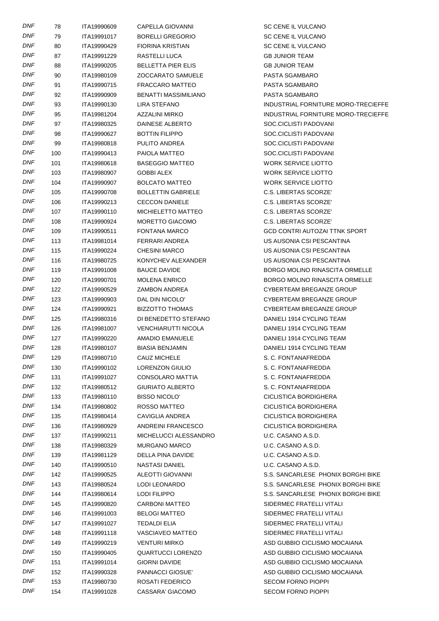| DNF        | 78  | ITA19990609 | <b>CAPELLA GIOVANNI</b>     | SC CENE IL VULCANO                  |
|------------|-----|-------------|-----------------------------|-------------------------------------|
| <b>DNF</b> | 79  | ITA19991017 | <b>BORELLI GREGORIO</b>     | SC CENE IL VULCANO                  |
| DNF        | 80  | ITA19990429 | <b>FIORINA KRISTIAN</b>     | SC CENE IL VULCANO                  |
| DNF        | 87  | ITA19991229 | RASTELLI LUCA               | <b>GB JUNIOR TEAM</b>               |
| DNF        | 88  | ITA19990205 | <b>BELLETTA PIER ELIS</b>   | <b>GB JUNIOR TEAM</b>               |
| DNF        | 90  | ITA19980109 | <b>ZOCCARATO SAMUELE</b>    | PASTA SGAMBARO                      |
| <b>DNF</b> | 91  | ITA19990715 | <b>FRACCARO MATTEO</b>      | PASTA SGAMBARO                      |
| DNF        | 92  | ITA19990909 | <b>BENATTI MASSIMILIANO</b> | PASTA SGAMBARO                      |
| DNF        | 93  | ITA19990130 | LIRA STEFANO                | INDUSTRIAL FORNITURE MORO-TRECIEFFE |
| DNF        | 95  | ITA19981204 | AZZALINI MIRKO              | INDUSTRIAL FORNITURE MORO-TRECIEFFE |
| DNF        | 97  | ITA19980325 | <b>DAINESE ALBERTO</b>      | SOC.CICLISTI PADOVANI               |
| <b>DNF</b> | 98  | ITA19990627 | <b>BOTTIN FILIPPO</b>       | SOC.CICLISTI PADOVANI               |
| DNF        | 99  | ITA19980818 | PULITO ANDREA               | SOC.CICLISTI PADOVANI               |
| DNF        | 100 | ITA19990413 | PAIOLA MATTEO               | SOC.CICLISTI PADOVANI               |
| DNF        | 101 | ITA19980618 | <b>BASEGGIO MATTEO</b>      | <b>WORK SERVICE LIOTTO</b>          |
| DNF        | 103 | ITA19980907 | GOBBI ALEX                  | <b>WORK SERVICE LIOTTO</b>          |
| <b>DNF</b> | 104 | ITA19990907 | <b>BOLCATO MATTEO</b>       | <b>WORK SERVICE LIOTTO</b>          |
| DNF        | 105 | ITA19990708 | <b>BOLLETTIN GABRIELE</b>   | C.S. LIBERTAS SCORZE'               |
| DNF        | 106 | ITA19990213 | <b>CECCON DANIELE</b>       | C.S. LIBERTAS SCORZE'               |
| DNF        | 107 | ITA19990110 | MICHIELETTO MATTEO          | C.S. LIBERTAS SCORZE'               |
| DNF        | 108 | ITA19990924 | MORETTO GIACOMO             | C.S. LIBERTAS SCORZE'               |
| DNF        | 109 | ITA19990511 | <b>FONTANA MARCO</b>        | GCD CONTRI AUTOZAI TTNK SPORT       |
| DNF        | 113 | ITA19981014 | FERRARI ANDREA              | US AUSONIA CSI PESCANTINA           |
| DNF        | 115 | ITA19990224 | <b>CHESINI MARCO</b>        | US AUSONIA CSI PESCANTINA           |
| DNF        | 116 | ITA19980725 | KONYCHEV ALEXANDER          | US AUSONIA CSI PESCANTINA           |
| DNF        | 119 | ITA19991008 | <b>BAUCE DAVIDE</b>         | BORGO MOLINO RINASCITA ORMELLE      |
| DNF        | 120 | ITA19990701 | <b>MOLENA ENRICO</b>        | BORGO MOLINO RINASCITA ORMELLE      |
| DNF        | 122 | ITA19990529 | ZAMBON ANDREA               | CYBERTEAM BREGANZE GROUP            |
| DNF        | 123 | ITA19990903 | DAL DIN NICOLO'             | CYBERTEAM BREGANZE GROUP            |
| DNF        | 124 | ITA19990921 | <b>BIZZOTTO THOMAS</b>      | CYBERTEAM BREGANZE GROUP            |
| <b>DNF</b> | 125 | ITA19980316 | DI BENEDETTO STEFANO        | DANIELI 1914 CYCLING TEAM           |
| DNF        | 126 | ITA19981007 | VENCHIARUTTI NICOLA         | DANIELI 1914 CYCLING TEAM           |
| <b>DNF</b> | 127 | ITA19990220 | AMADIO EMANUELE             | DANIELI 1914 CYCLING TEAM           |
| <b>DNF</b> | 128 | ITA19980107 | <b>BIASIA BENJAMIN</b>      | DANIELI 1914 CYCLING TEAM           |
| DNF        | 129 | ITA19980710 | <b>CAUZ MICHELE</b>         | S. C. FONTANAFREDDA                 |
| <b>DNF</b> | 130 | ITA19990102 | <b>LORENZON GIULIO</b>      | S. C. FONTANAFREDDA                 |
| <b>DNF</b> | 131 | ITA19991027 | CONSOLARO MATTIA            | S. C. FONTANAFREDDA                 |
| DNF        | 132 | ITA19980512 | <b>GIURIATO ALBERTO</b>     | S. C. FONTANAFREDDA                 |
| DNF        | 133 | ITA19980110 | <b>BISSO NICOLO'</b>        | CICLISTICA BORDIGHERA               |
| DNF        | 134 | ITA19980802 | ROSSO MATTEO                | CICLISTICA BORDIGHERA               |
| DNF        | 135 | ITA19980414 | CAVIGLIA ANDREA             | CICLISTICA BORDIGHERA               |
| DNF        | 136 | ITA19980929 | ANDREINI FRANCESCO          | CICLISTICA BORDIGHERA               |
| DNF        | 137 | ITA19990211 | MICHELUCCI ALESSANDRO       | U.C. CASANO A.S.D.                  |
| DNF        | 138 | ITA19980329 | <b>MURGANO MARCO</b>        | U.C. CASANO A.S.D.                  |
| DNF        | 139 | ITA19981129 | DELLA PINA DAVIDE           | U.C. CASANO A.S.D.                  |
| <b>DNF</b> | 140 | ITA19990510 | NASTASI DANIEL              | U.C. CASANO A.S.D.                  |
| DNF        | 142 | ITA19990525 | ALEOTTI GIOVANNI            | S.S. SANCARLESE PHONIX BORGHI BIKE  |
| DNF        | 143 | ITA19980524 | LODI LEONARDO               | S.S. SANCARLESE PHONIX BORGHI BIKE  |
| DNF        | 144 | ITA19980614 | LODI FILIPPO                | S.S. SANCARLESE PHONIX BORGHI BIKE  |
| DNF        | 145 | ITA19990820 | CARBONI MATTEO              | SIDERMEC FRATELLI VITALI            |
| <b>DNF</b> | 146 | ITA19991003 | <b>BELOGI MATTEO</b>        | SIDERMEC FRATELLI VITALI            |
| DNF        | 147 | ITA19991027 | TEDALDI ELIA                | SIDERMEC FRATELLI VITALI            |
| DNF        | 148 | ITA19991118 | <b>VASCIAVEO MATTEO</b>     | SIDERMEC FRATELLI VITALI            |
| DNF        | 149 | ITA19990219 | <b>VENTURI MIRKO</b>        | ASD GUBBIO CICLISMO MOCAIANA        |
| DNF        | 150 | ITA19990405 | <b>QUARTUCCI LORENZO</b>    | ASD GUBBIO CICLISMO MOCAIANA        |
| <b>DNF</b> | 151 | ITA19991014 | <b>GIORNI DAVIDE</b>        | ASD GUBBIO CICLISMO MOCAIANA        |
| DNF        | 152 | ITA19990328 | PANNACCI GIOSUE'            | ASD GUBBIO CICLISMO MOCAIANA        |
| DNF        | 153 | ITA19980730 | ROSATI FEDERICO             | <b>SECOM FORNO PIOPPI</b>           |
| <b>DNF</b> | 154 | ITA19991028 | CASSARA' GIACOMO            | <b>SECOM FORNO PIOPPI</b>           |
|            |     |             |                             |                                     |